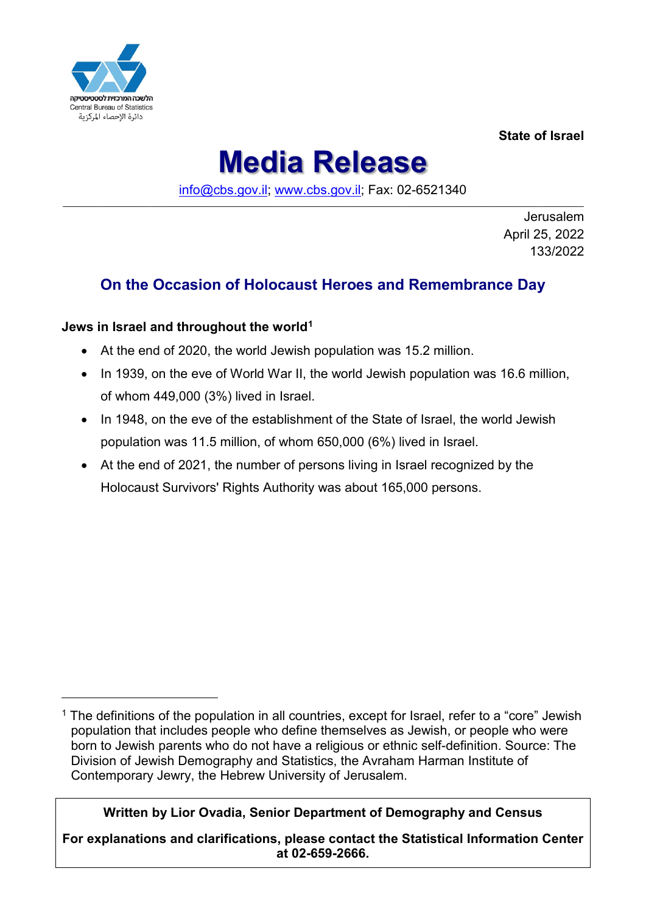

**State of Israel**

# **Media Release**

[info@cbs.gov.il;](mailto:info@cbs.gov.il) [www.cbs.gov.il;](https://www.cbs.gov.il/) Fax: 02-6521340 \_\_\_\_\_\_\_\_\_\_\_\_\_\_\_\_\_\_\_\_\_\_\_\_\_\_\_\_\_\_\_\_\_\_\_\_\_\_\_\_\_\_\_\_\_\_\_\_\_\_\_\_\_\_\_\_\_\_\_\_\_\_\_\_\_\_\_\_\_\_\_\_\_\_\_\_\_\_\_\_\_\_\_\_\_\_\_\_\_\_\_\_\_\_\_\_\_\_\_\_\_\_\_\_\_\_\_\_

> Jerusalem April 25, 2022 133/2022

# **On the Occasion of Holocaust Heroes and Remembrance Day**

### **Jews in Israel and throughout the world[1](#page-0-0)**

- At the end of 2020, the world Jewish population was 15.2 million.
- In 1939, on the eve of World War II, the world Jewish population was 16.6 million, of whom 449,000 (3%) lived in Israel.
- In 1948, on the eve of the establishment of the State of Israel, the world Jewish population was 11.5 million, of whom 650,000 (6%) lived in Israel.
- At the end of 2021, the number of persons living in Israel recognized by the Holocaust Survivors' Rights Authority was about 165,000 persons.

## **Written by Lior Ovadia, Senior Department of Demography and Census**

**For explanations and clarifications, please contact the Statistical Information Center at 02-659-2666.**

<span id="page-0-0"></span> $1$  The definitions of the population in all countries, except for Israel, refer to a "core" Jewish population that includes people who define themselves as Jewish, or people who were born to Jewish parents who do not have a religious or ethnic self-definition. Source: The Division of Jewish Demography and Statistics, the Avraham Harman Institute of Contemporary Jewry, the Hebrew University of Jerusalem.